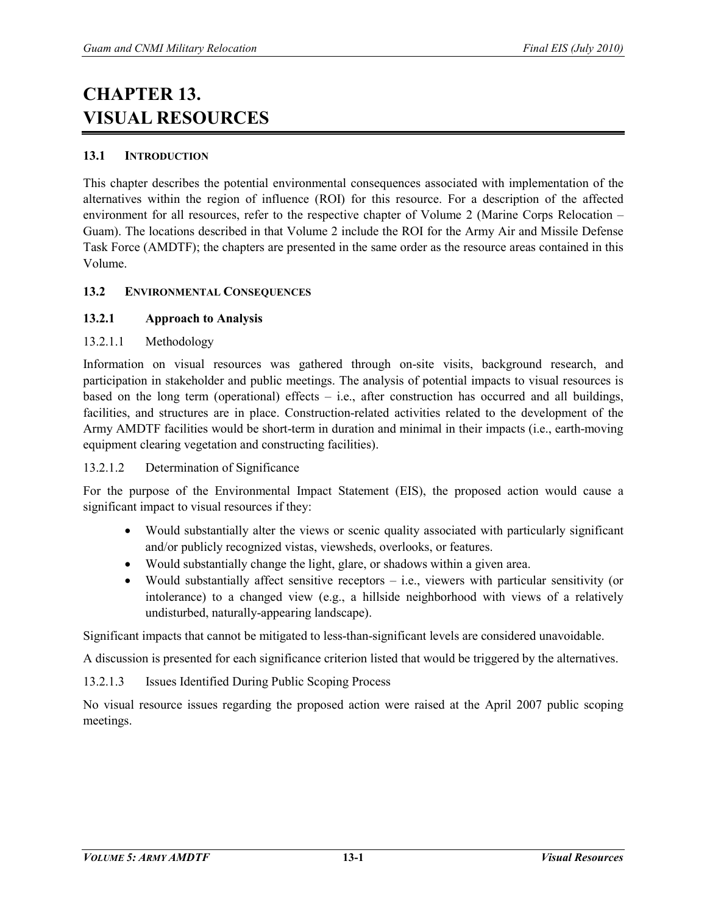# **CHAPTER 13. VISUAL RESOURCES**

# **13.1 INTRODUCTION**

This chapter describes the potential environmental consequences associated with implementation of the alternatives within the region of influence (ROI) for this resource. For a description of the affected environment for all resources, refer to the respective chapter of Volume 2 (Marine Corps Relocation – Guam). The locations described in that Volume 2 include the ROI for the Army Air and Missile Defense Task Force (AMDTF); the chapters are presented in the same order as the resource areas contained in this Volume.

# **13.2 ENVIRONMENTAL CONSEQUENCES**

# **13.2.1 Approach to Analysis**

# 13.2.1.1 Methodology

Information on visual resources was gathered through on-site visits, background research, and participation in stakeholder and public meetings. The analysis of potential impacts to visual resources is based on the long term (operational) effects  $-$  i.e., after construction has occurred and all buildings, facilities, and structures are in place. Construction-related activities related to the development of the Army AMDTF facilities would be short-term in duration and minimal in their impacts (i.e., earth-moving equipment clearing vegetation and constructing facilities).

#### 13.2.1.2 Determination of Significance

For the purpose of the Environmental Impact Statement (EIS), the proposed action would cause a significant impact to visual resources if they:

- Would substantially alter the views or scenic quality associated with particularly significant and/or publicly recognized vistas, viewsheds, overlooks, or features.
- Would substantially change the light, glare, or shadows within a given area.
- Would substantially affect sensitive receptors i.e., viewers with particular sensitivity (or intolerance) to a changed view (e.g., a hillside neighborhood with views of a relatively undisturbed, naturally-appearing landscape).

Significant impacts that cannot be mitigated to less-than-significant levels are considered unavoidable.

A discussion is presented for each significance criterion listed that would be triggered by the alternatives.

13.2.1.3 Issues Identified During Public Scoping Process

No visual resource issues regarding the proposed action were raised at the April 2007 public scoping meetings.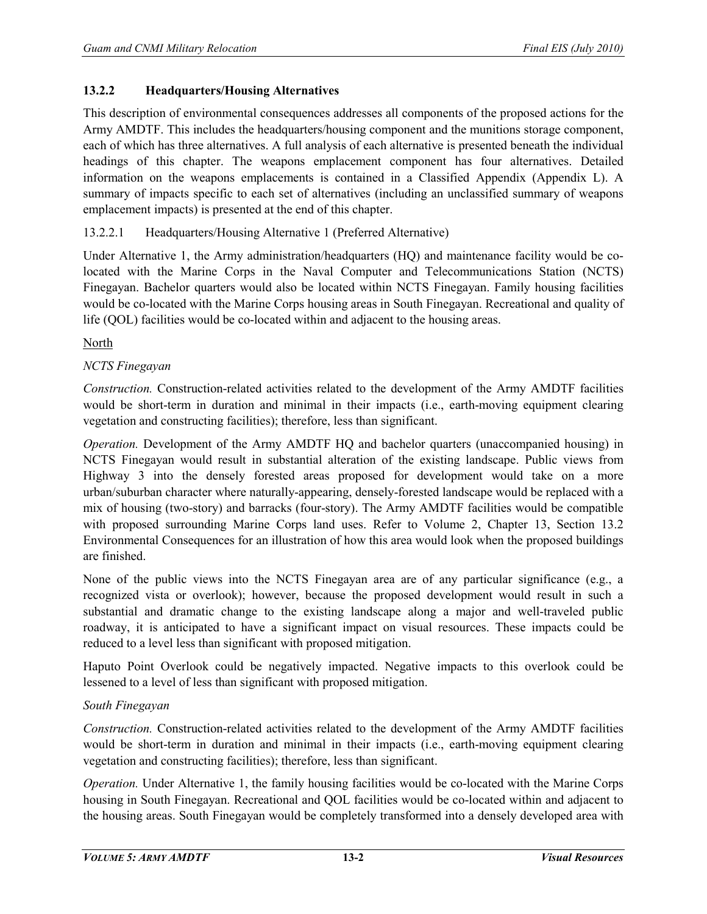# **13.2.2 Headquarters/Housing Alternatives**

This description of environmental consequences addresses all components of the proposed actions for the Army AMDTF. This includes the headquarters/housing component and the munitions storage component, each of which has three alternatives. A full analysis of each alternative is presented beneath the individual headings of this chapter. The weapons emplacement component has four alternatives. Detailed information on the weapons emplacements is contained in a Classified Appendix (Appendix L). A summary of impacts specific to each set of alternatives (including an unclassified summary of weapons emplacement impacts) is presented at the end of this chapter.

# 13.2.2.1 Headquarters/Housing Alternative 1 (Preferred Alternative)

Under Alternative 1, the Army administration/headquarters (HQ) and maintenance facility would be colocated with the Marine Corps in the Naval Computer and Telecommunications Station (NCTS) Finegayan. Bachelor quarters would also be located within NCTS Finegayan. Family housing facilities would be co-located with the Marine Corps housing areas in South Finegayan. Recreational and quality of life (QOL) facilities would be co-located within and adjacent to the housing areas.

North

# *NCTS Finegayan*

*Construction.* Construction-related activities related to the development of the Army AMDTF facilities would be short-term in duration and minimal in their impacts (i.e., earth-moving equipment clearing vegetation and constructing facilities); therefore, less than significant.

*Operation.* Development of the Army AMDTF HQ and bachelor quarters (unaccompanied housing) in NCTS Finegayan would result in substantial alteration of the existing landscape. Public views from Highway 3 into the densely forested areas proposed for development would take on a more urban/suburban character where naturally-appearing, densely-forested landscape would be replaced with a mix of housing (two-story) and barracks (four-story). The Army AMDTF facilities would be compatible with proposed surrounding Marine Corps land uses. Refer to Volume 2, Chapter 13, Section 13.2 Environmental Consequences for an illustration of how this area would look when the proposed buildings are finished.

None of the public views into the NCTS Finegayan area are of any particular significance (e.g., a recognized vista or overlook); however, because the proposed development would result in such a substantial and dramatic change to the existing landscape along a major and well-traveled public roadway, it is anticipated to have a significant impact on visual resources. These impacts could be reduced to a level less than significant with proposed mitigation.

Haputo Point Overlook could be negatively impacted. Negative impacts to this overlook could be lessened to a level of less than significant with proposed mitigation.

#### *South Finegayan*

*Construction.* Construction-related activities related to the development of the Army AMDTF facilities would be short-term in duration and minimal in their impacts (i.e., earth-moving equipment clearing vegetation and constructing facilities); therefore, less than significant.

*Operation.* Under Alternative 1, the family housing facilities would be co-located with the Marine Corps housing in South Finegayan. Recreational and QOL facilities would be co-located within and adjacent to the housing areas. South Finegayan would be completely transformed into a densely developed area with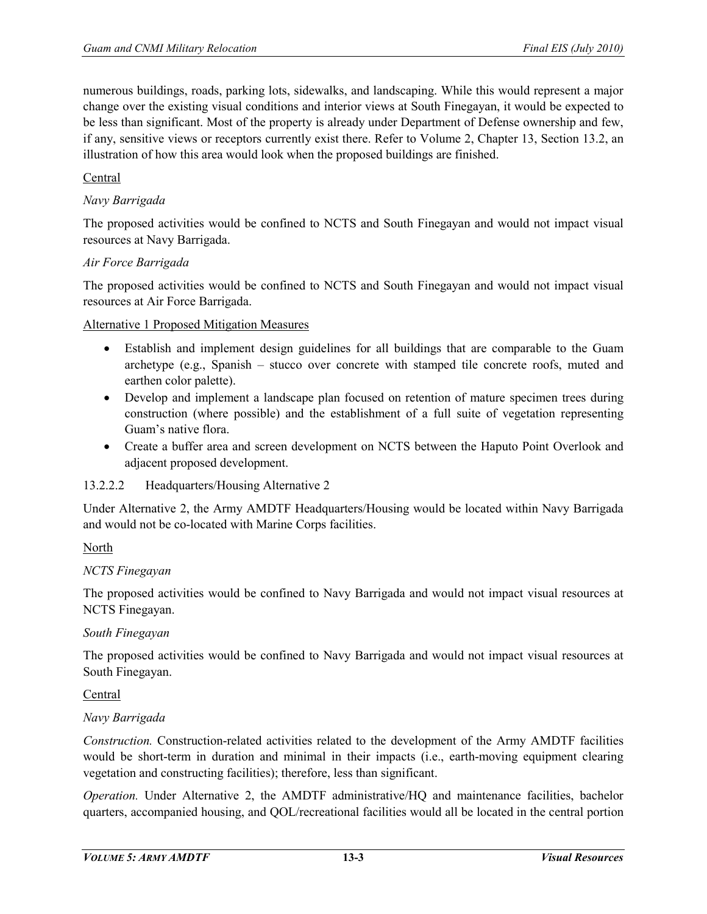numerous buildings, roads, parking lots, sidewalks, and landscaping. While this would represent a major change over the existing visual conditions and interior views at South Finegayan, it would be expected to be less than significant. Most of the property is already under Department of Defense ownership and few, if any, sensitive views or receptors currently exist there. Refer to Volume 2, Chapter 13, Section 13.2, an illustration of how this area would look when the proposed buildings are finished.

# Central

# *Navy Barrigada*

The proposed activities would be confined to NCTS and South Finegayan and would not impact visual resources at Navy Barrigada.

#### *Air Force Barrigada*

The proposed activities would be confined to NCTS and South Finegayan and would not impact visual resources at Air Force Barrigada.

#### Alternative 1 Proposed Mitigation Measures

- Establish and implement design guidelines for all buildings that are comparable to the Guam archetype (e.g., Spanish – stucco over concrete with stamped tile concrete roofs, muted and earthen color palette).
- Develop and implement a landscape plan focused on retention of mature specimen trees during construction (where possible) and the establishment of a full suite of vegetation representing Guam's native flora.
- Create a buffer area and screen development on NCTS between the Haputo Point Overlook and adjacent proposed development.

#### 13.2.2.2 Headquarters/Housing Alternative 2

Under Alternative 2, the Army AMDTF Headquarters/Housing would be located within Navy Barrigada and would not be co-located with Marine Corps facilities.

#### North

#### *NCTS Finegayan*

The proposed activities would be confined to Navy Barrigada and would not impact visual resources at NCTS Finegayan.

#### *South Finegayan*

The proposed activities would be confined to Navy Barrigada and would not impact visual resources at South Finegayan.

#### Central

#### *Navy Barrigada*

*Construction.* Construction-related activities related to the development of the Army AMDTF facilities would be short-term in duration and minimal in their impacts (i.e., earth-moving equipment clearing vegetation and constructing facilities); therefore, less than significant.

*Operation.* Under Alternative 2, the AMDTF administrative/HQ and maintenance facilities, bachelor quarters, accompanied housing, and QOL/recreational facilities would all be located in the central portion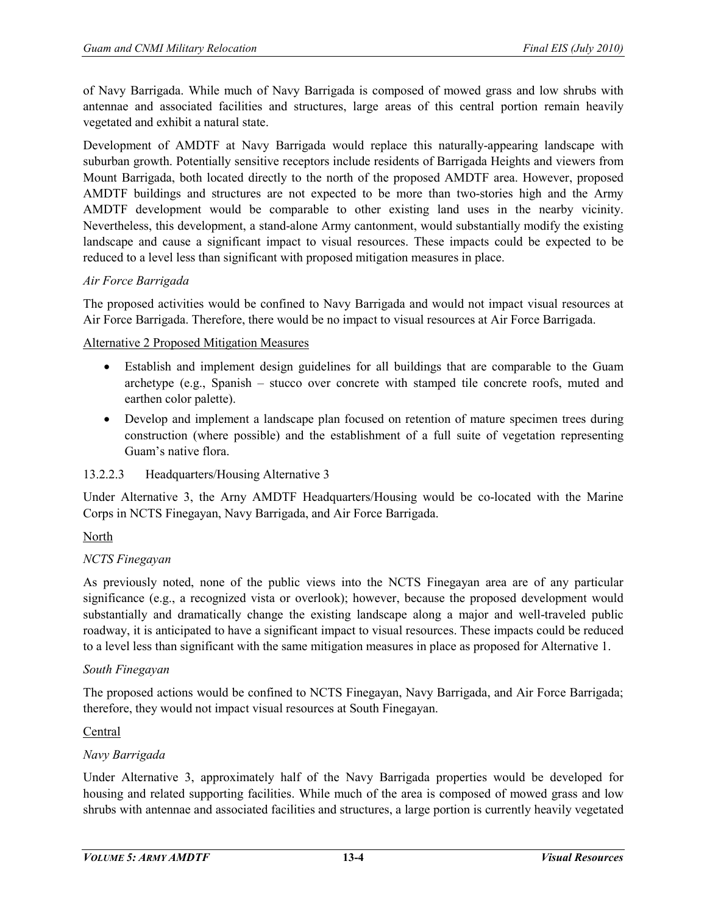of Navy Barrigada. While much of Navy Barrigada is composed of mowed grass and low shrubs with antennae and associated facilities and structures, large areas of this central portion remain heavily vegetated and exhibit a natural state.

Development of AMDTF at Navy Barrigada would replace this naturally-appearing landscape with suburban growth. Potentially sensitive receptors include residents of Barrigada Heights and viewers from Mount Barrigada, both located directly to the north of the proposed AMDTF area. However, proposed AMDTF buildings and structures are not expected to be more than two-stories high and the Army AMDTF development would be comparable to other existing land uses in the nearby vicinity. Nevertheless, this development, a stand-alone Army cantonment, would substantially modify the existing landscape and cause a significant impact to visual resources. These impacts could be expected to be reduced to a level less than significant with proposed mitigation measures in place.

# *Air Force Barrigada*

The proposed activities would be confined to Navy Barrigada and would not impact visual resources at Air Force Barrigada. Therefore, there would be no impact to visual resources at Air Force Barrigada.

Alternative 2 Proposed Mitigation Measures

- Establish and implement design guidelines for all buildings that are comparable to the Guam archetype (e.g., Spanish – stucco over concrete with stamped tile concrete roofs, muted and earthen color palette).
- Develop and implement a landscape plan focused on retention of mature specimen trees during construction (where possible) and the establishment of a full suite of vegetation representing Guam's native flora.

#### 13.2.2.3 Headquarters/Housing Alternative 3

Under Alternative 3, the Arny AMDTF Headquarters/Housing would be co-located with the Marine Corps in NCTS Finegayan, Navy Barrigada, and Air Force Barrigada.

#### North

#### *NCTS Finegayan*

As previously noted, none of the public views into the NCTS Finegayan area are of any particular significance (e.g., a recognized vista or overlook); however, because the proposed development would substantially and dramatically change the existing landscape along a major and well-traveled public roadway, it is anticipated to have a significant impact to visual resources. These impacts could be reduced to a level less than significant with the same mitigation measures in place as proposed for Alternative 1.

#### *South Finegayan*

The proposed actions would be confined to NCTS Finegayan, Navy Barrigada, and Air Force Barrigada; therefore, they would not impact visual resources at South Finegayan.

#### Central

#### *Navy Barrigada*

Under Alternative 3, approximately half of the Navy Barrigada properties would be developed for housing and related supporting facilities. While much of the area is composed of mowed grass and low shrubs with antennae and associated facilities and structures, a large portion is currently heavily vegetated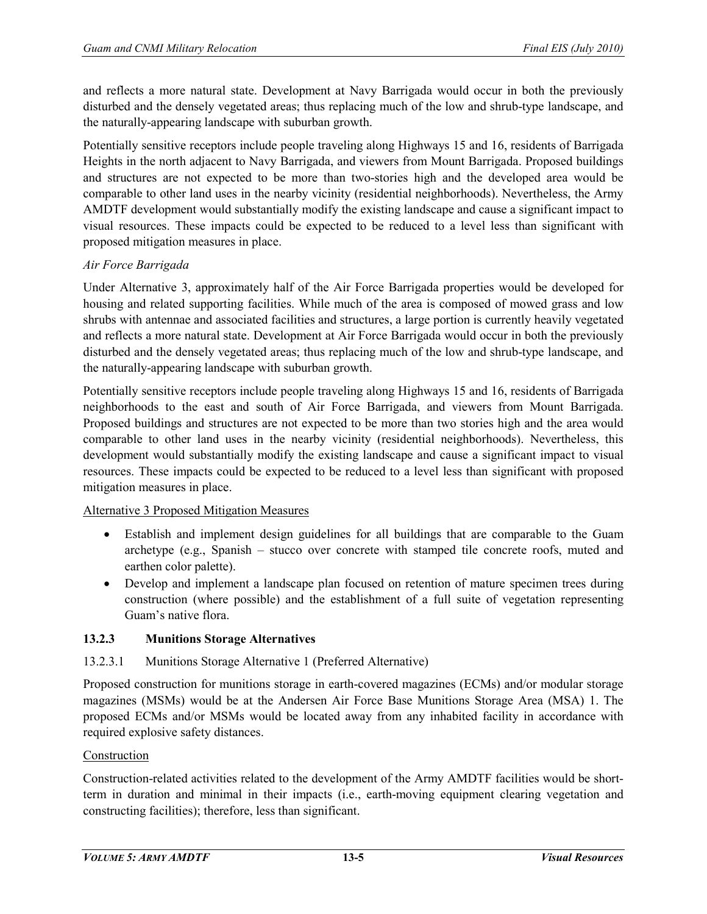and reflects a more natural state. Development at Navy Barrigada would occur in both the previously disturbed and the densely vegetated areas; thus replacing much of the low and shrub-type landscape, and the naturally-appearing landscape with suburban growth.

Potentially sensitive receptors include people traveling along Highways 15 and 16, residents of Barrigada Heights in the north adjacent to Navy Barrigada, and viewers from Mount Barrigada. Proposed buildings and structures are not expected to be more than two-stories high and the developed area would be comparable to other land uses in the nearby vicinity (residential neighborhoods). Nevertheless, the Army AMDTF development would substantially modify the existing landscape and cause a significant impact to visual resources. These impacts could be expected to be reduced to a level less than significant with proposed mitigation measures in place.

# *Air Force Barrigada*

Under Alternative 3, approximately half of the Air Force Barrigada properties would be developed for housing and related supporting facilities. While much of the area is composed of mowed grass and low shrubs with antennae and associated facilities and structures, a large portion is currently heavily vegetated and reflects a more natural state. Development at Air Force Barrigada would occur in both the previously disturbed and the densely vegetated areas; thus replacing much of the low and shrub-type landscape, and the naturally-appearing landscape with suburban growth.

Potentially sensitive receptors include people traveling along Highways 15 and 16, residents of Barrigada neighborhoods to the east and south of Air Force Barrigada, and viewers from Mount Barrigada. Proposed buildings and structures are not expected to be more than two stories high and the area would comparable to other land uses in the nearby vicinity (residential neighborhoods). Nevertheless, this development would substantially modify the existing landscape and cause a significant impact to visual resources. These impacts could be expected to be reduced to a level less than significant with proposed mitigation measures in place.

#### Alternative 3 Proposed Mitigation Measures

- Establish and implement design guidelines for all buildings that are comparable to the Guam archetype (e.g., Spanish – stucco over concrete with stamped tile concrete roofs, muted and earthen color palette).
- Develop and implement a landscape plan focused on retention of mature specimen trees during construction (where possible) and the establishment of a full suite of vegetation representing Guam's native flora.

# **13.2.3 Munitions Storage Alternatives**

# 13.2.3.1 Munitions Storage Alternative 1 (Preferred Alternative)

Proposed construction for munitions storage in earth-covered magazines (ECMs) and/or modular storage magazines (MSMs) would be at the Andersen Air Force Base Munitions Storage Area (MSA) 1. The proposed ECMs and/or MSMs would be located away from any inhabited facility in accordance with required explosive safety distances.

#### Construction

Construction-related activities related to the development of the Army AMDTF facilities would be shortterm in duration and minimal in their impacts (i.e., earth-moving equipment clearing vegetation and constructing facilities); therefore, less than significant.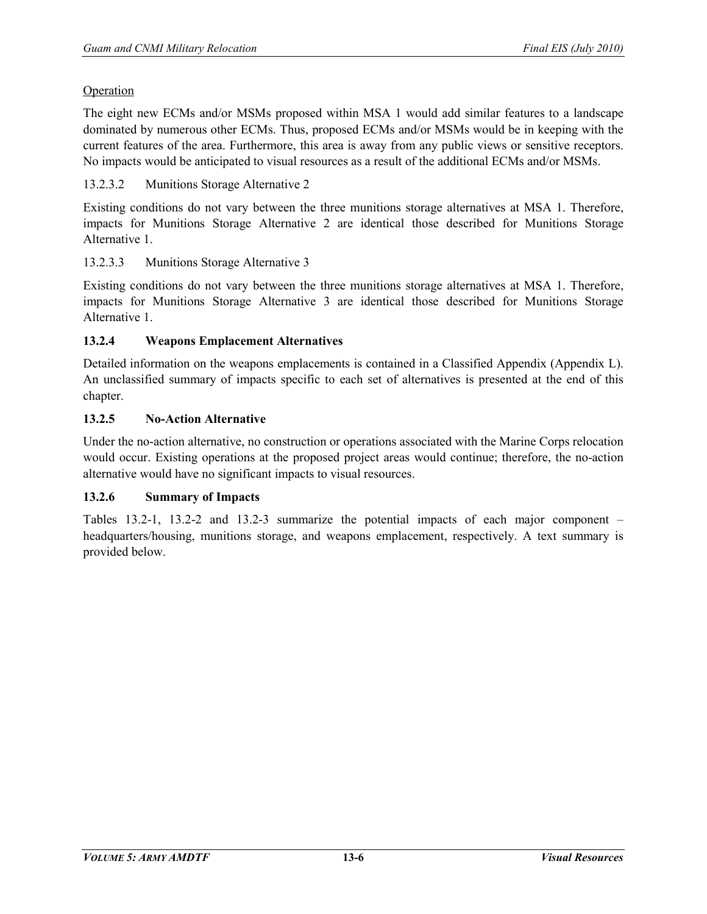#### Operation

The eight new ECMs and/or MSMs proposed within MSA 1 would add similar features to a landscape dominated by numerous other ECMs. Thus, proposed ECMs and/or MSMs would be in keeping with the current features of the area. Furthermore, this area is away from any public views or sensitive receptors. No impacts would be anticipated to visual resources as a result of the additional ECMs and/or MSMs.

# 13.2.3.2 Munitions Storage Alternative 2

Existing conditions do not vary between the three munitions storage alternatives at MSA 1. Therefore, impacts for Munitions Storage Alternative 2 are identical those described for Munitions Storage Alternative 1.

#### 13.2.3.3 Munitions Storage Alternative 3

Existing conditions do not vary between the three munitions storage alternatives at MSA 1. Therefore, impacts for Munitions Storage Alternative 3 are identical those described for Munitions Storage Alternative 1.

#### **13.2.4 Weapons Emplacement Alternatives**

Detailed information on the weapons emplacements is contained in a Classified Appendix (Appendix L). An unclassified summary of impacts specific to each set of alternatives is presented at the end of this chapter.

#### **13.2.5 No-Action Alternative**

Under the no-action alternative, no construction or operations associated with the Marine Corps relocation would occur. Existing operations at the proposed project areas would continue; therefore, the no-action alternative would have no significant impacts to visual resources.

#### **13.2.6 Summary of Impacts**

Tables 13.2-1, 13.2-2 and 13.2-3 summarize the potential impacts of each major component – headquarters/housing, munitions storage, and weapons emplacement, respectively. A text summary is provided below.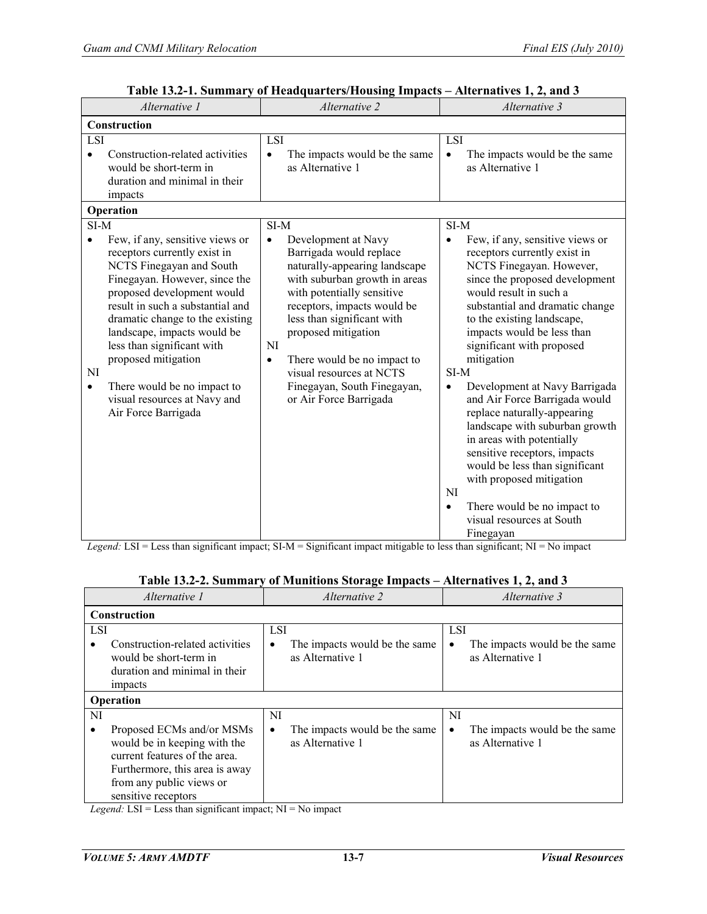| Alternative 1                                                                                                                                                                                                                                                                                                                                                                                                                            | Alternative 2                                                                                                                                                                                                                                                                                                                                                                                         | Alternative 3                                                                                                                                                                                                                                                                                                                                                                                                                                                                                                                                                                                                                                                                                         |  |  |
|------------------------------------------------------------------------------------------------------------------------------------------------------------------------------------------------------------------------------------------------------------------------------------------------------------------------------------------------------------------------------------------------------------------------------------------|-------------------------------------------------------------------------------------------------------------------------------------------------------------------------------------------------------------------------------------------------------------------------------------------------------------------------------------------------------------------------------------------------------|-------------------------------------------------------------------------------------------------------------------------------------------------------------------------------------------------------------------------------------------------------------------------------------------------------------------------------------------------------------------------------------------------------------------------------------------------------------------------------------------------------------------------------------------------------------------------------------------------------------------------------------------------------------------------------------------------------|--|--|
| Construction                                                                                                                                                                                                                                                                                                                                                                                                                             |                                                                                                                                                                                                                                                                                                                                                                                                       |                                                                                                                                                                                                                                                                                                                                                                                                                                                                                                                                                                                                                                                                                                       |  |  |
| LSI<br>Construction-related activities<br>$\bullet$<br>would be short-term in<br>duration and minimal in their<br>impacts                                                                                                                                                                                                                                                                                                                | <b>LSI</b><br>The impacts would be the same<br>$\bullet$<br>as Alternative 1                                                                                                                                                                                                                                                                                                                          | <b>LSI</b><br>The impacts would be the same<br>$\bullet$<br>as Alternative 1                                                                                                                                                                                                                                                                                                                                                                                                                                                                                                                                                                                                                          |  |  |
| Operation                                                                                                                                                                                                                                                                                                                                                                                                                                |                                                                                                                                                                                                                                                                                                                                                                                                       |                                                                                                                                                                                                                                                                                                                                                                                                                                                                                                                                                                                                                                                                                                       |  |  |
| $SI-M$<br>Few, if any, sensitive views or<br>receptors currently exist in<br>NCTS Finegayan and South<br>Finegayan. However, since the<br>proposed development would<br>result in such a substantial and<br>dramatic change to the existing<br>landscape, impacts would be<br>less than significant with<br>proposed mitigation<br>NI<br>There would be no impact to<br>$\bullet$<br>visual resources at Navy and<br>Air Force Barrigada | SI-M<br>Development at Navy<br>$\bullet$<br>Barrigada would replace<br>naturally-appearing landscape<br>with suburban growth in areas<br>with potentially sensitive<br>receptors, impacts would be<br>less than significant with<br>proposed mitigation<br><b>NI</b><br>There would be no impact to<br>$\bullet$<br>visual resources at NCTS<br>Finegayan, South Finegayan,<br>or Air Force Barrigada | SI-M<br>Few, if any, sensitive views or<br>$\bullet$<br>receptors currently exist in<br>NCTS Finegayan. However,<br>since the proposed development<br>would result in such a<br>substantial and dramatic change<br>to the existing landscape,<br>impacts would be less than<br>significant with proposed<br>mitigation<br>SI-M<br>Development at Navy Barrigada<br>$\bullet$<br>and Air Force Barrigada would<br>replace naturally-appearing<br>landscape with suburban growth<br>in areas with potentially<br>sensitive receptors, impacts<br>would be less than significant<br>with proposed mitigation<br>NI<br>There would be no impact to<br>$\bullet$<br>visual resources at South<br>Finegayan |  |  |

**Table 13.2-1. Summary of Headquarters/Housing Impacts – Alternatives 1, 2, and 3** 

*Legend:* LSI = Less than significant impact; SI-M = Significant impact mitigable to less than significant; NI = No impact

| Alternative 1                                                                                                                                                                                                                                                                                                                                                                                                                                                                                  | <i>Alternative 2</i>                                                              | Alternative 3                                                  |  |  |  |
|------------------------------------------------------------------------------------------------------------------------------------------------------------------------------------------------------------------------------------------------------------------------------------------------------------------------------------------------------------------------------------------------------------------------------------------------------------------------------------------------|-----------------------------------------------------------------------------------|----------------------------------------------------------------|--|--|--|
| Construction                                                                                                                                                                                                                                                                                                                                                                                                                                                                                   |                                                                                   |                                                                |  |  |  |
| <b>LSI</b>                                                                                                                                                                                                                                                                                                                                                                                                                                                                                     | <b>LSI</b>                                                                        | <b>LSI</b>                                                     |  |  |  |
| Construction-related activities<br>would be short-term in<br>duration and minimal in their<br>impacts                                                                                                                                                                                                                                                                                                                                                                                          | The impacts would be the same<br>$\bullet$<br>as Alternative 1                    | The impacts would be the same<br>$\bullet$<br>as Alternative 1 |  |  |  |
| Operation                                                                                                                                                                                                                                                                                                                                                                                                                                                                                      |                                                                                   |                                                                |  |  |  |
| NI                                                                                                                                                                                                                                                                                                                                                                                                                                                                                             | NI                                                                                | NI                                                             |  |  |  |
| Proposed ECMs and/or MSMs<br>would be in keeping with the<br>current features of the area.<br>Furthermore, this area is away<br>from any public views or<br>sensitive receptors<br>$\mathbf{r}$ , $\mathbf{r}$ , $\mathbf{r}$ , $\mathbf{r}$ , $\mathbf{r}$ , $\mathbf{r}$ , $\mathbf{r}$ , $\mathbf{r}$ , $\mathbf{r}$ , $\mathbf{r}$ , $\mathbf{r}$ , $\mathbf{r}$ , $\mathbf{r}$ , $\mathbf{r}$ , $\mathbf{r}$ , $\mathbf{r}$ , $\mathbf{r}$ , $\mathbf{r}$ , $\mathbf{r}$ , $\mathbf{r}$ , | The impacts would be the same<br>$\bullet$<br>as Alternative 1<br><b>STE ST 1</b> | The impacts would be the same<br>$\bullet$<br>as Alternative 1 |  |  |  |

| Table 13.2-2. Summary of Munitions Storage Impacts - Alternatives 1, 2, and 3 |  |
|-------------------------------------------------------------------------------|--|
|                                                                               |  |

*Legend:* LSI = Less than significant impact; NI = No impact

 $\overline{\phantom{0}}$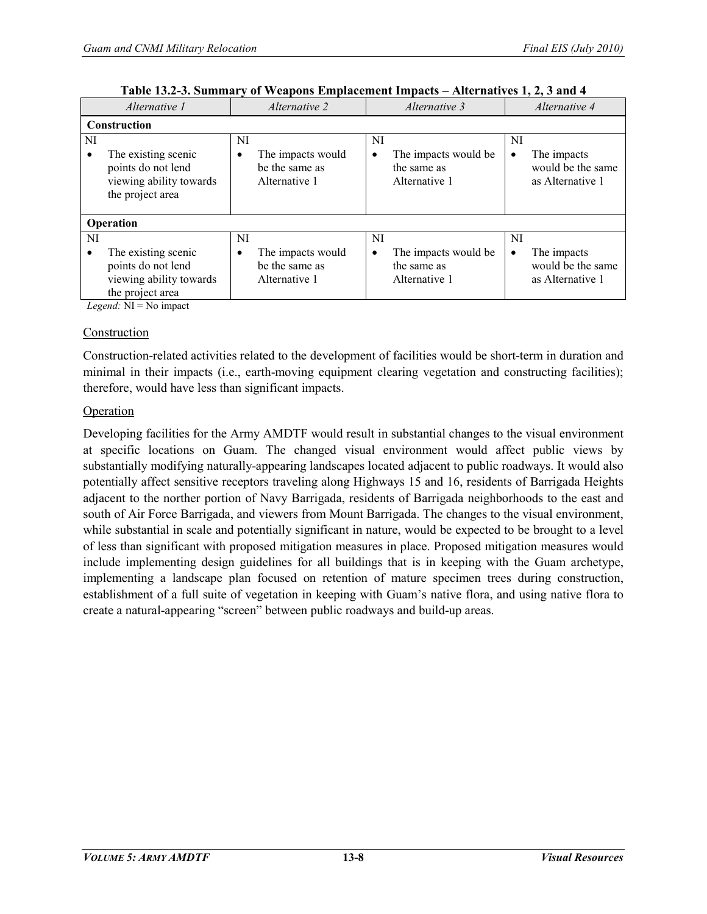| Alternative 1 |                                                                                          | <i>Alternative 2</i> |                                                      | Alternative 3   |                                                      | Alternative 4 |                                                      |
|---------------|------------------------------------------------------------------------------------------|----------------------|------------------------------------------------------|-----------------|------------------------------------------------------|---------------|------------------------------------------------------|
|               | Construction                                                                             |                      |                                                      |                 |                                                      |               |                                                      |
| NI            | The existing scenic<br>points do not lend<br>viewing ability towards<br>the project area | NI<br>$\bullet$      | The impacts would<br>be the same as<br>Alternative 1 | NI<br>$\bullet$ | The impacts would be<br>the same as<br>Alternative 1 | NI<br>٠       | The impacts<br>would be the same<br>as Alternative 1 |
|               | Operation                                                                                |                      |                                                      |                 |                                                      |               |                                                      |
| NI            |                                                                                          | NI                   |                                                      | NI              |                                                      | NI            |                                                      |
|               | The existing scenic<br>points do not lend<br>viewing ability towards<br>the project area | $\bullet$            | The impacts would<br>be the same as<br>Alternative 1 | $\bullet$       | The impacts would be<br>the same as<br>Alternative 1 |               | The impacts<br>would be the same<br>as Alternative 1 |

| Table 13.2-3. Summary of Weapons Emplacement Impacts – Alternatives 1, 2, 3 and 4 |  |  |  |  |  |
|-----------------------------------------------------------------------------------|--|--|--|--|--|
|-----------------------------------------------------------------------------------|--|--|--|--|--|

*Legend:* NI = No impact

#### Construction

Construction-related activities related to the development of facilities would be short-term in duration and minimal in their impacts (i.e., earth-moving equipment clearing vegetation and constructing facilities); therefore, would have less than significant impacts.

#### **Operation**

Developing facilities for the Army AMDTF would result in substantial changes to the visual environment at specific locations on Guam. The changed visual environment would affect public views by substantially modifying naturally-appearing landscapes located adjacent to public roadways. It would also potentially affect sensitive receptors traveling along Highways 15 and 16, residents of Barrigada Heights adjacent to the norther portion of Navy Barrigada, residents of Barrigada neighborhoods to the east and south of Air Force Barrigada, and viewers from Mount Barrigada. The changes to the visual environment, while substantial in scale and potentially significant in nature, would be expected to be brought to a level of less than significant with proposed mitigation measures in place. Proposed mitigation measures would include implementing design guidelines for all buildings that is in keeping with the Guam archetype, implementing a landscape plan focused on retention of mature specimen trees during construction, establishment of a full suite of vegetation in keeping with Guam's native flora, and using native flora to create a natural-appearing "screen" between public roadways and build-up areas.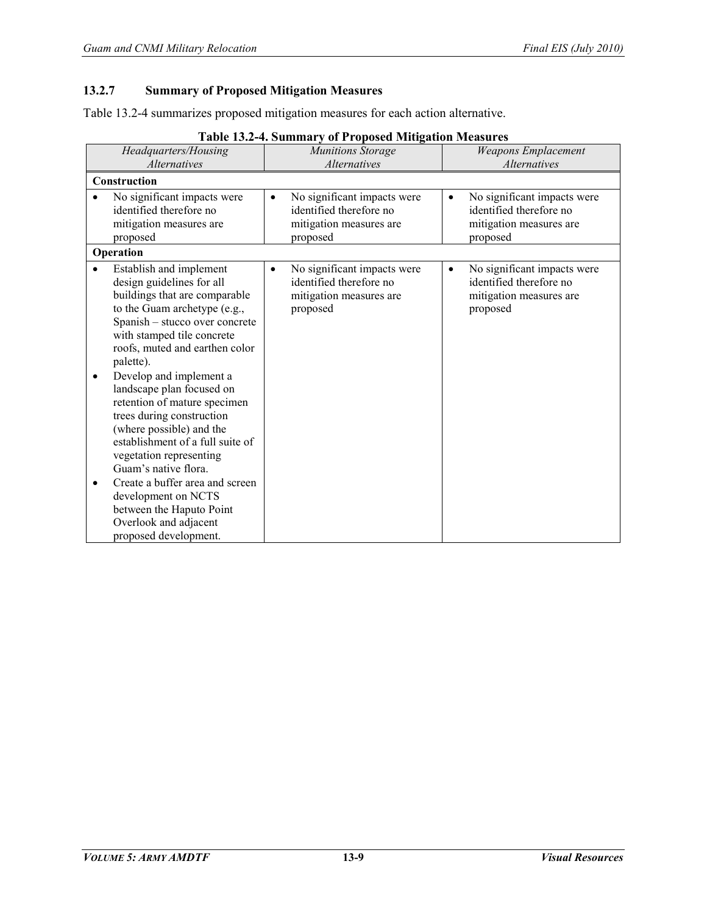# **13.2.7 Summary of Proposed Mitigation Measures**

Table 13.2-4 summarizes proposed mitigation measures for each action alternative.

| Headquarters/Housing                                                                                                                                                                                                                                                                                                                                                                                                                                                                                                                                                                                                                           | $\mu$ resident to a community of a representation of the community<br><b>Munitions Storage</b>             | <b>Weapons Emplacement</b>                                                                                 |
|------------------------------------------------------------------------------------------------------------------------------------------------------------------------------------------------------------------------------------------------------------------------------------------------------------------------------------------------------------------------------------------------------------------------------------------------------------------------------------------------------------------------------------------------------------------------------------------------------------------------------------------------|------------------------------------------------------------------------------------------------------------|------------------------------------------------------------------------------------------------------------|
| <b>Alternatives</b>                                                                                                                                                                                                                                                                                                                                                                                                                                                                                                                                                                                                                            | <b>Alternatives</b>                                                                                        | <i>Alternatives</i>                                                                                        |
| Construction                                                                                                                                                                                                                                                                                                                                                                                                                                                                                                                                                                                                                                   |                                                                                                            |                                                                                                            |
| No significant impacts were<br>identified therefore no<br>mitigation measures are<br>proposed                                                                                                                                                                                                                                                                                                                                                                                                                                                                                                                                                  | No significant impacts were<br>$\bullet$<br>identified therefore no<br>mitigation measures are<br>proposed | No significant impacts were<br>$\bullet$<br>identified therefore no<br>mitigation measures are<br>proposed |
| Operation                                                                                                                                                                                                                                                                                                                                                                                                                                                                                                                                                                                                                                      |                                                                                                            |                                                                                                            |
| Establish and implement<br>design guidelines for all<br>buildings that are comparable<br>to the Guam archetype (e.g.,<br>Spanish - stucco over concrete<br>with stamped tile concrete<br>roofs, muted and earthen color<br>palette).<br>Develop and implement a<br>$\bullet$<br>landscape plan focused on<br>retention of mature specimen<br>trees during construction<br>(where possible) and the<br>establishment of a full suite of<br>vegetation representing<br>Guam's native flora.<br>Create a buffer area and screen<br>$\bullet$<br>development on NCTS<br>between the Haputo Point<br>Overlook and adjacent<br>proposed development. | No significant impacts were<br>٠<br>identified therefore no<br>mitigation measures are<br>proposed         | No significant impacts were<br>٠<br>identified therefore no<br>mitigation measures are<br>proposed         |

**Table 13.2-4. Summary of Proposed Mitigation Measures**